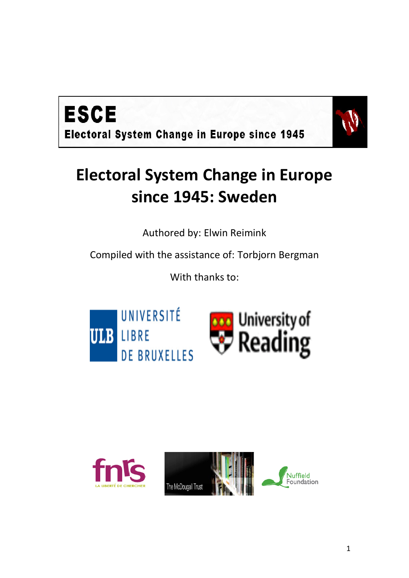



# **Electoral System Change in Europe since 1945: Sweden**

Authored by: Elwin Reimink

Compiled with the assistance of: Torbjorn Bergman

With thanks to:





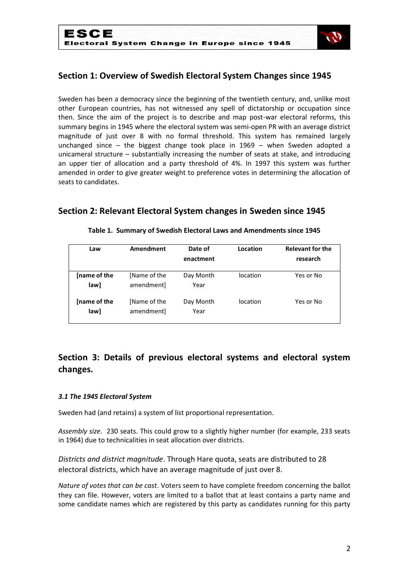

# **Section 1: Overview of Swedish Electoral System Changes since 1945**

Sweden has been a democracy since the beginning of the twentieth century, and, unlike most other European countries, has not witnessed any spell of dictatorship or occupation since then. Since the aim of the project is to describe and map post-war electoral reforms, this summary begins in 1945 where the electoral system was semi-open PR with an average district magnitude of just over 8 with no formal threshold. This system has remained largely unchanged since – the biggest change took place in 1969 – when Sweden adopted a unicameral structure – substantially increasing the number of seats at stake, and introducing an upper tier of allocation and a party threshold of 4%. In 1997 this system was further amended in order to give greater weight to preference votes in determining the allocation of seats to candidates.

# **Section 2: Relevant Electoral System changes in Sweden since 1945**

| Law                  | Amendment                  | Date of<br>enactment | Location | <b>Relevant for the</b><br>research |
|----------------------|----------------------------|----------------------|----------|-------------------------------------|
| Iname of the<br>law] | [Name of the<br>amendmentl | Day Month<br>Year    | location | Yes or No                           |
| Iname of the<br>law] | [Name of the<br>amendment] | Day Month<br>Year    | location | Yes or No                           |

#### **Table 1. Summary of Swedish Electoral Laws and Amendments since 1945**

# **Section 3: Details of previous electoral systems and electoral system changes.**

#### *3.1 The 1945 Electoral System*

Sweden had (and retains) a system of list proportional representation.

*Assembly size*. 230 seats. This could grow to a slightly higher number (for example, 233 seats in 1964) due to technicalities in seat allocation over districts.

*Districts and district magnitude*. Through Hare quota, seats are distributed to 28 electoral districts, which have an average magnitude of just over 8.

*Nature of votes that can be cast*. Voters seem to have complete freedom concerning the ballot they can file. However, voters are limited to a ballot that at least contains a party name and some candidate names which are registered by this party as candidates running for this party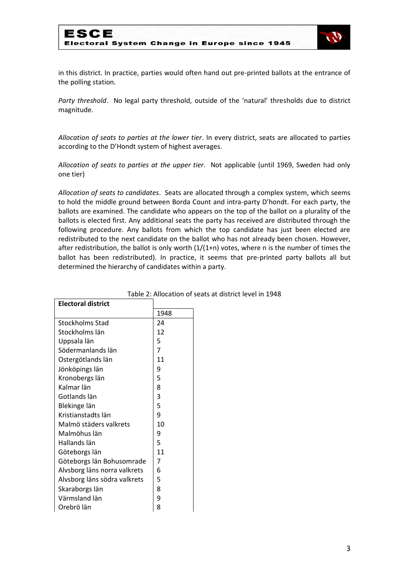

in this district. In practice, parties would often hand out pre-printed ballots at the entrance of the polling station.

*Party threshold*. No legal party threshold, outside of the 'natural' thresholds due to district magnitude.

*Allocation of seats to parties at the lower tier*. In every district, seats are allocated to parties according to the D'Hondt system of highest averages.

*Allocation of seats to parties at the upper tier*. Not applicable (until 1969, Sweden had only one tier)

*Allocation of seats to candidates*. Seats are allocated through a complex system, which seems to hold the middle ground between Borda Count and intra-party D'hondt. For each party, the ballots are examined. The candidate who appears on the top of the ballot on a plurality of the ballots is elected first. Any additional seats the party has received are distributed through the following procedure. Any ballots from which the top candidate has just been elected are redistributed to the next candidate on the ballot who has not already been chosen. However, after redistribution, the ballot is only worth  $(1/(1+n))$  votes, where n is the number of times the ballot has been redistributed). In practice, it seems that pre-printed party ballots all but determined the hierarchy of candidates within a party.

| <b>Electoral district</b>    |      |
|------------------------------|------|
|                              | 1948 |
| Stockholms Stad              | 24   |
| Stockholms län               | 12   |
| Uppsala län                  | 5    |
| Södermanlands län            | 7    |
| Ostergötlands län            | 11   |
| Jönköpings län               | 9    |
| Kronobergs län               | 5    |
| Kalmar län                   | 8    |
| Gotlands län                 | 3    |
| Blekinge län                 | 5    |
| Kristianstadts län           | 9    |
| Malmö städers valkrets       | 10   |
| Malmöhus län                 | 9    |
| Hallands län                 | 5    |
| Göteborgs län                | 11   |
| Göteborgs län Bohusomrade    | 7    |
| Alvsborg läns norra valkrets | 6    |
| Alvsborg läns södra valkrets | 5    |
| Skaraborgs län               | 8    |
| Värmsland län                | 9    |
| Orebrö län                   | 8    |

Table 2: Allocation of seats at district level in 1948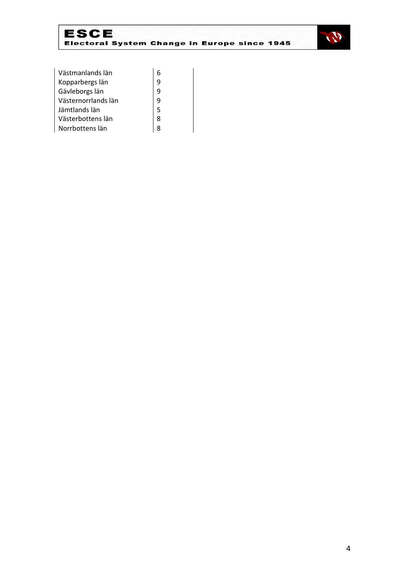



| Västmanlands län    |   |
|---------------------|---|
| Kopparbergs län     | q |
| Gävleborgs län      | 9 |
| Västernorrlands län | 9 |
| Jämtlands län       | 5 |
| Västerbottens län   | 8 |
| Norrbottens län     | ጸ |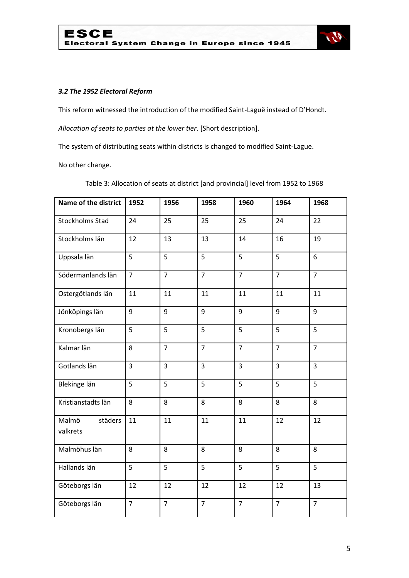

## *3.2 The 1952 Electoral Reform*

This reform witnessed the introduction of the modified Saint-Laguë instead of D'Hondt.

*Allocation of seats to parties at the lower tier*. [Short description].

The system of distributing seats within districts is changed to modified Saint-Lague.

No other change.

Table 3: Allocation of seats at district [and provincial] level from 1952 to 1968

| Name of the district         | 1952           | 1956           | 1958           | 1960           | 1964           | 1968           |
|------------------------------|----------------|----------------|----------------|----------------|----------------|----------------|
| Stockholms Stad              | 24             | 25             | 25             | 25             | 24             | 22             |
| Stockholms län               | 12             | 13             | 13             | 14             | 16             | 19             |
| Uppsala län                  | 5              | 5              | $\overline{5}$ | 5              | $\overline{5}$ | 6              |
| Södermanlands län            | $\overline{7}$ | $\overline{7}$ | $\overline{7}$ | $\overline{7}$ | $\overline{7}$ | $\overline{7}$ |
| Ostergötlands län            | 11             | 11             | 11             | 11             | 11             | 11             |
| Jönköpings län               | 9              | 9              | 9              | 9              | 9              | 9              |
| Kronobergs län               | $\overline{5}$ | 5              | $\overline{5}$ | 5              | $\overline{5}$ | 5              |
| Kalmar län                   | 8              | $\overline{7}$ | $\overline{7}$ | $\overline{7}$ | $\overline{7}$ | $\overline{7}$ |
| Gotlands län                 | $\overline{3}$ | 3              | 3              | 3              | $\overline{3}$ | 3              |
| Blekinge län                 | 5              | 5              | 5              | 5              | 5              | 5              |
| Kristianstadts län           | 8              | 8              | 8              | 8              | 8              | 8              |
| Malmö<br>städers<br>valkrets | 11             | 11             | 11             | 11             | 12             | 12             |
| Malmöhus län                 | 8              | 8              | 8              | 8              | 8              | 8              |
| Hallands län                 | 5              | 5              | 5              | 5              | 5              | 5              |
| Göteborgs län                | 12             | 12             | 12             | 12             | 12             | 13             |
| Göteborgs län                | $\overline{7}$ | $\overline{7}$ | $\overline{7}$ | $\overline{7}$ | $\overline{7}$ | $\overline{7}$ |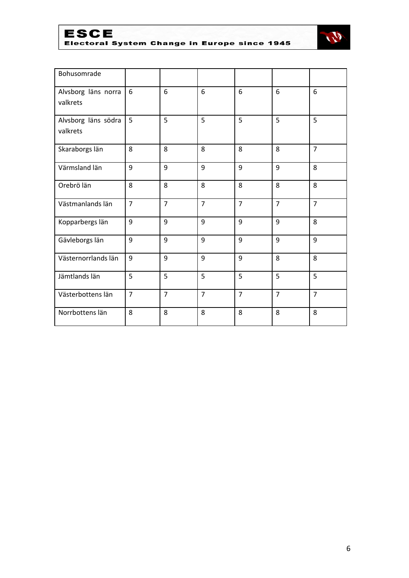

ESCE<br>Electoral System Change in Europe since 1945



| Bohusomrade                     |                |                |                |                |                |                |
|---------------------------------|----------------|----------------|----------------|----------------|----------------|----------------|
| Alvsborg läns norra<br>valkrets | 6              | 6              | 6              | 6              | 6              | 6              |
| Alvsborg läns södra<br>valkrets | 5              | 5              | 5              | 5              | 5              | 5              |
| Skaraborgs län                  | 8              | 8              | 8              | 8              | 8              | $\overline{7}$ |
| Värmsland län                   | 9              | 9              | 9              | 9              | 9              | 8              |
| Orebrö län                      | 8              | 8              | 8              | 8              | 8              | 8              |
| Västmanlands län                | $\overline{7}$ | $\overline{7}$ | $\overline{7}$ | $\overline{7}$ | $\overline{7}$ | $\overline{7}$ |
| Kopparbergs län                 | 9              | 9              | 9              | 9              | 9              | 8              |
| Gävleborgs län                  | 9              | 9              | 9              | 9              | 9              | 9              |
| Västernorrlands län             | 9              | 9              | 9              | 9              | 8              | 8              |
| Jämtlands län                   | 5              | 5              | 5              | 5              | 5              | 5              |
| Västerbottens län               | $\overline{7}$ | $\overline{7}$ | $\overline{7}$ | $\overline{7}$ | $\overline{7}$ | $\overline{7}$ |
| Norrbottens län                 | 8              | 8              | 8              | 8              | 8              | 8              |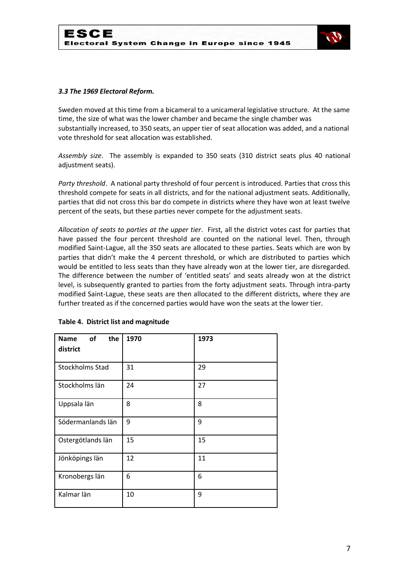

#### *3.3 The 1969 Electoral Reform.*

Sweden moved at this time from a bicameral to a unicameral legislative structure. At the same time, the size of what was the lower chamber and became the single chamber was substantially increased, to 350 seats, an upper tier of seat allocation was added, and a national vote threshold for seat allocation was established.

*Assembly size*. The assembly is expanded to 350 seats (310 district seats plus 40 national adjustment seats).

*Party threshold*. A national party threshold of four percent is introduced. Parties that cross this threshold compete for seats in all districts, and for the national adjustment seats. Additionally, parties that did not cross this bar do compete in districts where they have won at least twelve percent of the seats, but these parties never compete for the adjustment seats.

*Allocation of seats to parties at the upper tier*. First, all the district votes cast for parties that have passed the four percent threshold are counted on the national level. Then, through modified Saint-Lague, all the 350 seats are allocated to these parties. Seats which are won by parties that didn't make the 4 percent threshold, or which are distributed to parties which would be entitled to less seats than they have already won at the lower tier, are disregarded. The difference between the number of 'entitled seats' and seats already won at the district level, is subsequently granted to parties from the forty adjustment seats. Through intra-party modified Saint-Lague, these seats are then allocated to the different districts, where they are further treated as if the concerned parties would have won the seats at the lower tier.

| of<br>the<br><b>Name</b> | 1970 | 1973 |
|--------------------------|------|------|
| district                 |      |      |
| <b>Stockholms Stad</b>   | 31   | 29   |
| Stockholms län           | 24   | 27   |
| Uppsala län              | 8    | 8    |
| Södermanlands län        | 9    | 9    |
| Ostergötlands län        | 15   | 15   |
| Jönköpings län           | 12   | 11   |
| Kronobergs län           | 6    | 6    |
| Kalmar län               | 10   | 9    |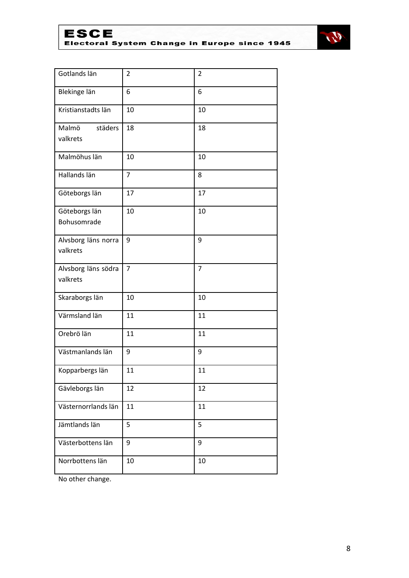ESCE<br>Electoral System Change in Europe since 1945



| Gotlands län                    | $\overline{2}$ | $\overline{2}$ |
|---------------------------------|----------------|----------------|
| Blekinge län                    | 6              | 6              |
| Kristianstadts län              | 10             | 10             |
| Malmö<br>städers<br>valkrets    | 18             | 18             |
| Malmöhus län                    | 10             | 10             |
| Hallands län                    | $\overline{7}$ | 8              |
| Göteborgs län                   | 17             | 17             |
| Göteborgs län<br>Bohusomrade    | 10             | 10             |
| Alvsborg läns norra<br>valkrets | 9              | 9              |
| Alvsborg läns södra<br>valkrets | $\overline{7}$ | $\overline{7}$ |
| Skaraborgs län                  | 10             | 10             |
| Värmsland län                   | 11             | 11             |
| Orebrö län                      | 11             | 11             |
| Västmanlands län                | 9              | 9              |
| Kopparbergs län                 | 11             | 11             |
| Gävleborgs län                  | 12             | 12             |
| Västernorrlands län             | 11             | 11             |
| Jämtlands län                   | 5              | 5              |
| Västerbottens län               | 9              | 9              |
| Norrbottens län                 | 10             | 10             |

No other change.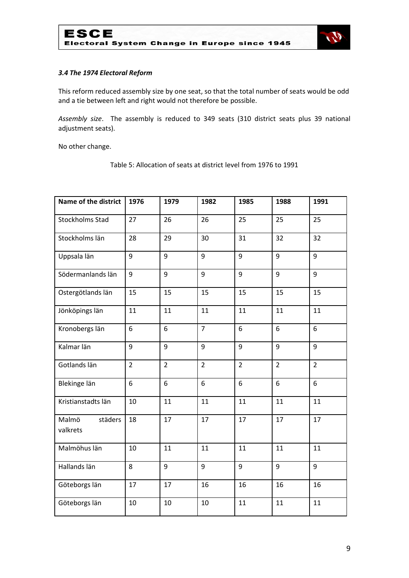

## *3.4 The 1974 Electoral Reform*

This reform reduced assembly size by one seat, so that the total number of seats would be odd and a tie between left and right would not therefore be possible.

*Assembly size*. The assembly is reduced to 349 seats (310 district seats plus 39 national adjustment seats).

No other change.

| <b>Name of the district</b>  | 1976           | 1979           | 1982           | 1985           | 1988           | 1991           |
|------------------------------|----------------|----------------|----------------|----------------|----------------|----------------|
| <b>Stockholms Stad</b>       | 27             | 26             | 26             | 25             | 25             | 25             |
| Stockholms län               | 28             | 29             | 30             | 31             | 32             | 32             |
| Uppsala län                  | 9              | 9              | 9              | 9              | 9              | 9              |
| Södermanlands län            | 9              | 9              | 9              | 9              | 9              | 9              |
| Ostergötlands län            | 15             | 15             | 15             | 15             | 15             | 15             |
| Jönköpings län               | 11             | 11             | 11             | 11             | 11             | 11             |
| Kronobergs län               | 6              | 6              | $\overline{7}$ | 6              | 6              | 6              |
| Kalmar län                   | 9              | 9              | 9              | 9              | 9              | 9              |
| Gotlands län                 | $\overline{2}$ | $\overline{2}$ | $\overline{2}$ | $\overline{2}$ | $\overline{2}$ | $\overline{2}$ |
| Blekinge län                 | 6              | 6              | 6              | 6              | 6              | 6              |
| Kristianstadts län           | 10             | 11             | 11             | 11             | 11             | 11             |
| Malmö<br>städers<br>valkrets | 18             | 17             | 17             | 17             | 17             | 17             |
| Malmöhus län                 | 10             | 11             | 11             | 11             | 11             | 11             |
| Hallands län                 | 8              | 9              | 9              | 9              | 9              | 9              |
| Göteborgs län                | 17             | 17             | 16             | 16             | 16             | 16             |
| Göteborgs län                | 10             | 10             | 10             | 11             | 11             | 11             |

Table 5: Allocation of seats at district level from 1976 to 1991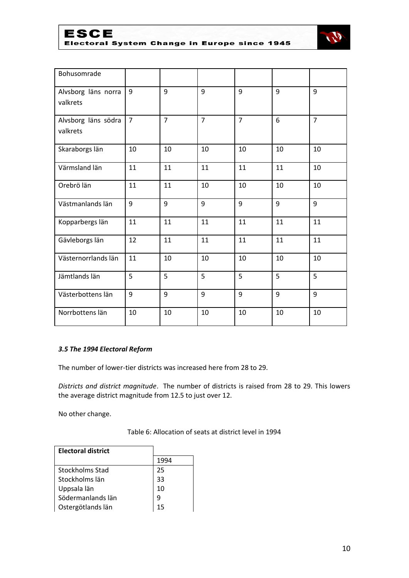

Electoral System Change in Europe since 1945



| Bohusomrade         |                |                |                |                |    |                |
|---------------------|----------------|----------------|----------------|----------------|----|----------------|
| Alvsborg läns norra | 9              | 9              | 9              | 9              | 9  | 9              |
| valkrets            |                |                |                |                |    |                |
| Alvsborg läns södra | $\overline{7}$ | $\overline{7}$ | $\overline{7}$ | $\overline{7}$ | 6  | $\overline{7}$ |
| valkrets            |                |                |                |                |    |                |
| Skaraborgs län      | 10             | 10             | 10             | 10             | 10 | 10             |
| Värmsland län       | 11             | 11             | 11             | 11             | 11 | 10             |
| Orebrö län          | 11             | 11             | 10             | 10             | 10 | 10             |
| Västmanlands län    | 9              | 9              | 9              | 9              | 9  | 9              |
| Kopparbergs län     | 11             | 11             | 11             | 11             | 11 | 11             |
| Gävleborgs län      | 12             | 11             | 11             | 11             | 11 | 11             |
| Västernorrlands län | 11             | 10             | 10             | 10             | 10 | 10             |
| Jämtlands län       | 5              | 5              | 5              | 5              | 5  | 5              |
| Västerbottens län   | 9              | 9              | 9              | 9              | 9  | 9              |
| Norrbottens län     | 10             | 10             | 10             | 10             | 10 | 10             |

## *3.5 The 1994 Electoral Reform*

The number of lower-tier districts was increased here from 28 to 29.

*Districts and district magnitude*. The number of districts is raised from 28 to 29. This lowers the average district magnitude from 12.5 to just over 12.

No other change.

Table 6: Allocation of seats at district level in 1994

| <b>Electoral district</b> |      |
|---------------------------|------|
|                           | 1994 |
| Stockholms Stad           | 25   |
| Stockholms län            | 33   |
| Uppsala län               | 10   |
| Södermanlands län         | 9    |
| Ostergötlands län         | 15   |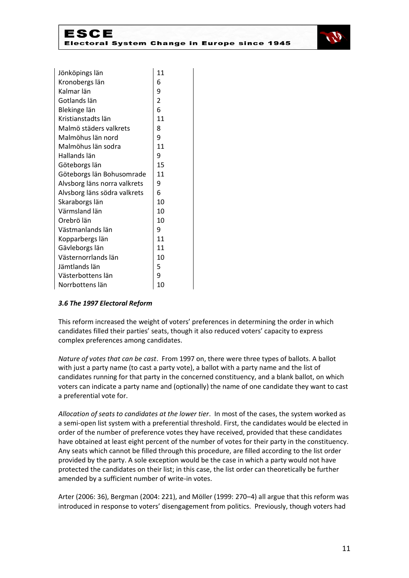

| Jönköpings län               | 11             |
|------------------------------|----------------|
| Kronobergs län               | 6              |
| Kalmar län                   | 9              |
| Gotlands län                 | $\overline{2}$ |
| Blekinge län                 | 6              |
| Kristianstadts län           | 11             |
| Malmö städers valkrets       | 8              |
| Malmöhus län nord            | 9              |
| Malmöhus län sodra           | 11             |
| Hallands län                 | 9              |
| Göteborgs län                | 15             |
| Göteborgs län Bohusomrade    | 11             |
| Alvsborg läns norra valkrets | 9              |
| Alvsborg läns södra valkrets | 6              |
| Skaraborgs län               | 10             |
| Värmsland län                | 10             |
| Orebrö län                   | 10             |
| Västmanlands län             | 9              |
| Kopparbergs län              | 11             |
| Gävleborgs län               | 11             |
| Västernorrlands län          | 10             |
| Jämtlands län                | 5              |
| Västerbottens län            | 9              |
| Norrbottens län              | 10             |

## *3.6 The 1997 Electoral Reform*

This reform increased the weight of voters' preferences in determining the order in which candidates filled their parties' seats, though it also reduced voters' capacity to express complex preferences among candidates.

*Nature of votes that can be cast*. From 1997 on, there were three types of ballots. A ballot with just a party name (to cast a party vote), a ballot with a party name and the list of candidates running for that party in the concerned constituency, and a blank ballot, on which voters can indicate a party name and (optionally) the name of one candidate they want to cast a preferential vote for.

*Allocation of seats to candidates at the lower tier*. In most of the cases, the system worked as a semi-open list system with a preferential threshold. First, the candidates would be elected in order of the number of preference votes they have received, provided that these candidates have obtained at least eight percent of the number of votes for their party in the constituency. Any seats which cannot be filled through this procedure, are filled according to the list order provided by the party. A sole exception would be the case in which a party would not have protected the candidates on their list; in this case, the list order can theoretically be further amended by a sufficient number of write-in votes.

Arter (2006: 36), Bergman (2004: 221), and Möller (1999: 270–4) all argue that this reform was introduced in response to voters' disengagement from politics. Previously, though voters had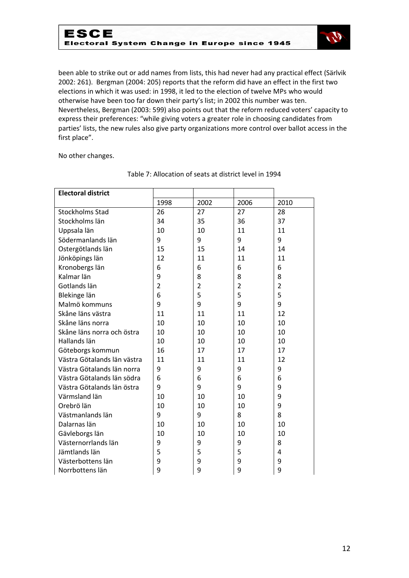

been able to strike out or add names from lists, this had never had any practical effect (Särlvik 2002: 261). Bergman (2004: 205) reports that the reform did have an effect in the first two elections in which it was used: in 1998, it led to the election of twelve MPs who would otherwise have been too far down their party's list; in 2002 this number was ten. Nevertheless, Bergman (2003: 599) also points out that the reform reduced voters' capacity to express their preferences: "while giving voters a greater role in choosing candidates from parties' lists, the new rules also give party organizations more control over ballot access in the first place".

No other changes.

| <b>Electoral district</b>   |                |                |                |                |
|-----------------------------|----------------|----------------|----------------|----------------|
|                             | 1998           | 2002           | 2006           | 2010           |
| <b>Stockholms Stad</b>      | 26             | 27             | 27             | 28             |
| Stockholms län              | 34             | 35             | 36             | 37             |
| Uppsala län                 | 10             | 10             | 11             | 11             |
| Södermanlands län           | 9              | 9              | 9              | 9              |
| Ostergötlands län           | 15             | 15             | 14             | 14             |
| Jönköpings län              | 12             | 11             | 11             | 11             |
| Kronobergs län              | 6              | 6              | 6              | 6              |
| Kalmar län                  | 9              | 8              | 8              | 8              |
| Gotlands län                | $\overline{2}$ | $\overline{2}$ | $\overline{2}$ | $\overline{2}$ |
| Blekinge län                | 6              | 5              | 5              | 5              |
| Malmö kommuns               | 9              | 9              | 9              | 9              |
| Skåne läns västra           | 11             | 11             | 11             | 12             |
| Skåne läns norra            | 10             | 10             | 10             | 10             |
| Skåne läns norra och östra  | 10             | 10             | 10             | 10             |
| Hallands län                | 10             | 10             | 10             | 10             |
| Göteborgs kommun            | 16             | 17             | 17             | 17             |
| Västra Götalands län västra | 11             | 11             | 11             | 12             |
| Västra Götalands län norra  | 9              | 9              | 9              | 9              |
| Västra Götalands län södra  | 6              | 6              | 6              | 6              |
| Västra Götalands län östra  | 9              | 9              | 9              | 9              |
| Värmsland län               | 10             | 10             | 10             | 9              |
| Orebrö län                  | 10             | 10             | 10             | 9              |
| Västmanlands län            | 9              | 9              | 8              | 8              |
| Dalarnas län                | 10             | 10             | 10             | 10             |
| Gävleborgs län              | 10             | 10             | 10             | 10             |
| Västernorrlands län         | 9              | 9              | 9              | 8              |
| Jämtlands län               | 5              | 5              | 5              | 4              |
| Västerbottens län           | 9              | 9              | 9              | 9              |
| Norrbottens län             | 9              | 9              | 9              | 9              |

## Table 7: Allocation of seats at district level in 1994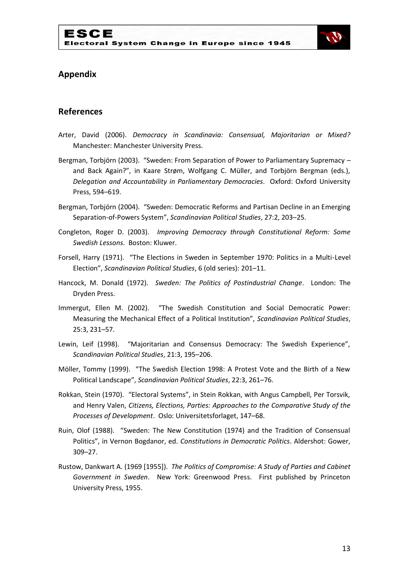

## **Appendix**

## **References**

- Arter, David (2006). *Democracy in Scandinavia: Consensual, Majoritarian or Mixed?* Manchester: Manchester University Press.
- Bergman, Torbjörn (2003). "Sweden: From Separation of Power to Parliamentary Supremacy and Back Again?", in Kaare Strøm, Wolfgang C. Müller, and Torbjörn Bergman (eds.), *Delegation and Accountability in Parliamentary Democracies*. Oxford: Oxford University Press, 594–619.
- Bergman, Torbjörn (2004). "Sweden: Democratic Reforms and Partisan Decline in an Emerging Separation-of-Powers System", *Scandinavian Political Studies*, 27:2, 203–25.
- Congleton, Roger D. (2003). *Improving Democracy through Constitutional Reform: Some Swedish Lessons*. Boston: Kluwer.
- Forsell, Harry (1971). "The Elections in Sweden in September 1970: Politics in a Multi-Level Election", *Scandinavian Political Studies*, 6 (old series): 201–11.
- Hancock, M. Donald (1972). *Sweden: The Politics of Postindustrial Change*. London: The Dryden Press.
- Immergut, Ellen M. (2002). "The Swedish Constitution and Social Democratic Power: Measuring the Mechanical Effect of a Political Institution", *Scandinavian Political Studies*, 25:3, 231–57.
- Lewin, Leif (1998). "Majoritarian and Consensus Democracy: The Swedish Experience", *Scandinavian Political Studies*, 21:3, 195–206.
- Möller, Tommy (1999). "The Swedish Election 1998: A Protest Vote and the Birth of a New Political Landscape", *Scandinavian Political Studies*, 22:3, 261–76.
- Rokkan, Stein (1970). "Electoral Systems", in Stein Rokkan, with Angus Campbell, Per Torsvik, and Henry Valen, *Citizens, Elections, Parties: Approaches to the Comparative Study of the Processes of Development*. Oslo: Universitetsforlaget, 147–68.
- Ruin, Olof (1988). "Sweden: The New Constitution (1974) and the Tradition of Consensual Politics", in Vernon Bogdanor, ed. *Constitutions in Democratic Politics*. Aldershot: Gower, 309–27.
- Rustow, Dankwart A. (1969 [1955]). *The Politics of Compromise: A Study of Parties and Cabinet Government in Sweden*. New York: Greenwood Press. First published by Princeton University Press, 1955.